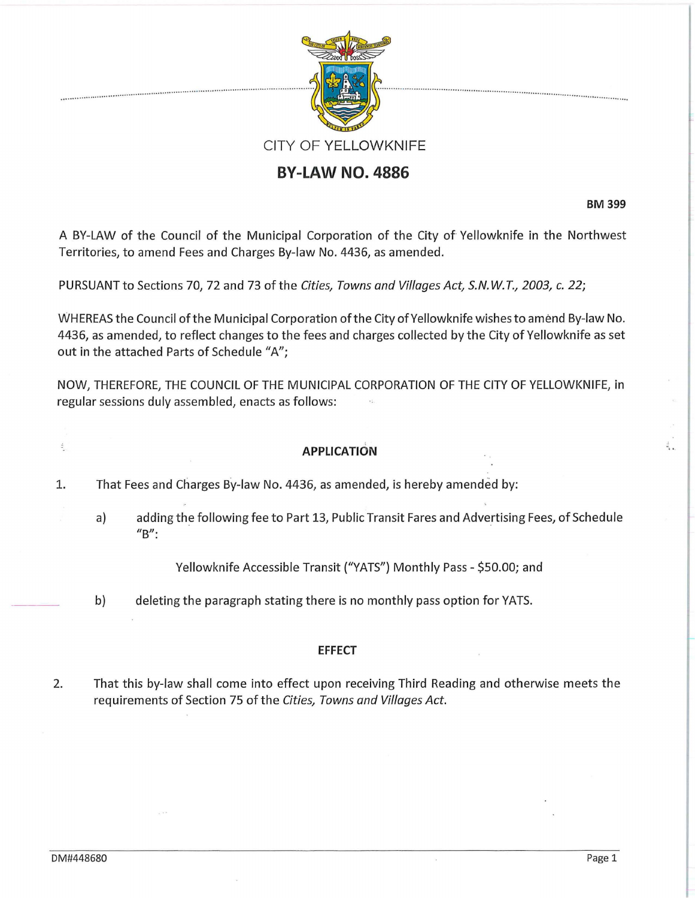

## **BY-LAW NO. 4886**

BM 399

.

A BY-LAW of the Council of the Municipal Corporation of the City of Yellowknife in the Northwest Territories, to amend Fees and Charges By-law No. 4436, as amended.

PURSUANT to Sections 70, 72 and 73 of the Cities, Towns and Villages Act, S.N. W. T., 2003, *c.* 22;

WHEREAS the Council of the Municipal Corporation ofthe City of Yellowknife wishes to amend By-law No. 4436, as amended, to reflect changes to the fees and charges collected by the City of Yellowknife as set out in the attached Parts of Schedule "A";

NOW, THEREFORE, THE COUNCIL OF THE MUNICIPAL CORPORATION OF THE CITY OF YELLOWKNIFE, in regular sessions duly assembled, enacts as follows:

## **APPLICATION**

1. That Fees and Charges By-law No. 4436, as amended, is hereby amended by:

a) adding the following fee to Part 13, Public Transit Fares and Advertising Fees, of Schedule  $^{\prime\prime}$ B":

Yellowknife Accessible Transit ("VATS") Monthly Pass- \$50.00; and

b) deleting the paragraph stating there is no monthly pass option for VATS.

## **EFFECT**

2. That this by-law shall come into effect upon receiving Third Reading and otherwise meets the requirements of Section 75 of the Cities, Towns and Villages Act.

 $\frac{1}{2}$